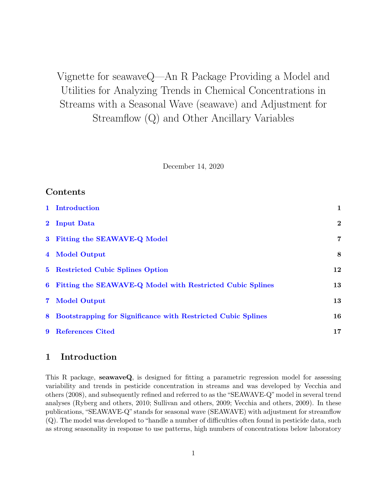Vignette for seawaveQ—An R Package Providing a Model and Utilities for Analyzing Trends in Chemical Concentrations in Streams with a Seasonal Wave (seawave) and Adjustment for Streamflow (Q) and Other Ancillary Variables

December 14, 2020

# Contents

|             | 1 Introduction                                                      | 1        |
|-------------|---------------------------------------------------------------------|----------|
|             | 2 Input Data                                                        | $\bf{2}$ |
|             | 3 Fitting the SEAWAVE-Q Model                                       | 7        |
|             | 4 Model Output                                                      | 8        |
|             | 5 Restricted Cubic Splines Option                                   | 12       |
| $6^{\circ}$ | Fitting the SEAWAVE-Q Model with Restricted Cubic Splines           | 13       |
|             | 7 Model Output                                                      | 13       |
| 8           | <b>Bootstrapping for Significance with Restricted Cubic Splines</b> | 16       |
| 9           | <b>References Cited</b>                                             | 17       |

## <span id="page-0-0"></span>1 Introduction

This R package, seawaveQ, is designed for fitting a parametric regression model for assessing variability and trends in pesticide concentration in streams and was developed by Vecchia and others (2008), and subsequently refined and referred to as the "SEAWAVE-Q"model in several trend analyses (Ryberg and others, 2010; Sullivan and others, 2009; Vecchia and others, 2009). In these publications, "SEAWAVE-Q" stands for seasonal wave (SEAWAVE) with adjustment for streamflow (Q). The model was developed to "handle a number of difficulties often found in pesticide data, such as strong seasonality in response to use patterns, high numbers of concentrations below laboratory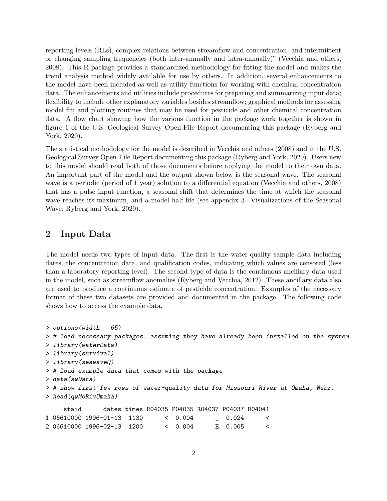reporting levels (RLs), complex relations between streamflow and concentration, and intermittent or changing sampling frequencies (both inter-annually and intra-annually)" (Vecchia and others, 2008). This R package provides a standardized methodology for fitting the model and makes the trend analysis method widely available for use by others. In addition, several enhancements to the model have been included as well as utility functions for working with chemical concentration data. The enhancements and utilities include procedures for preparing and summarizing input data; flexibility to include other explanatory variables besides streamflow; graphical methods for assessing model fit; and plotting routines that may be used for pesticide and other chemical concentration data. A flow chart showing how the various function in the package work together is shown in figure 1 of the U.S. Geological Survey Open-File Report documenting this package (Ryberg and York, 2020).

The statistical methodology for the model is described in Vecchia and others (2008) and in the U.S. Geological Survey Open-File Report documenting this package (Ryberg and York, 2020). Users new to this model should read both of those documents before applying the model to their own data. An important part of the model and the output shown below is the seasonal wave. The seasonal wave is a periodic (period of 1 year) solution to a differential equation (Vecchia and others, 2008) that has a pulse input function, a seasonal shift that determines the time at which the seasonal wave reaches its maximum, and a model half-life (see appendix 3. Visualizations of the Seasonal Wave; Ryberg and York, 2020).

## <span id="page-1-0"></span>2 Input Data

The model needs two types of input data. The first is the water-quality sample data including dates, the concentration data, and qualification codes, indicating which values are censored (less than a laboratory reporting level). The second type of data is the continuous ancillary data used in the model, such as streamflow anomalies (Ryberg and Vecchia, 2012). These ancillary data also are used to produce a continuous estimate of pesticide concentration. Examples of the necessary format of these two datasets are provided and documented in the package. The following code shows how to access the example data.

```
> options(width = 65)
> # load necessary packages, assuming they have already been installed on the system
> library(waterData)
> library(survival)
> library(seawaveQ)
> # load example data that comes with the package
> data(swData)
> # show first few rows of water-quality data for Missouri River at Omaha, Nebr.
> head(qwMoRivOmaha)
    staid dates times R04035 P04035 R04037 P04037 R04041
1 06610000 1996-01-13 1130 < 0.004 _ 0.024 <
2 06610000 1996-02-13 1200 < 0.004 E 0.005 <
```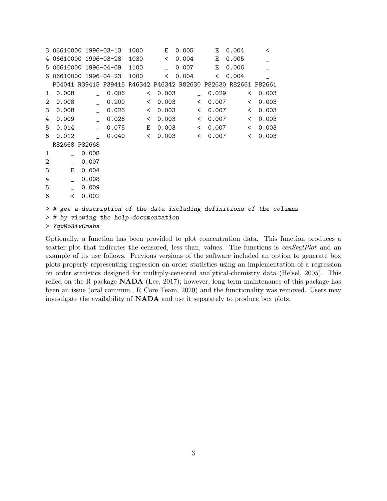|              | 3 06610000 1996-03-13 |                      |                                       | 1000  | E.      | 0.005                                                          |         | E.    | 0.004 | ≺       |                                                                        |
|--------------|-----------------------|----------------------|---------------------------------------|-------|---------|----------------------------------------------------------------|---------|-------|-------|---------|------------------------------------------------------------------------|
|              |                       |                      | 4 06610000 1996-03-28 1030            |       | $\prec$ | 0.004                                                          |         | E     | 0.005 |         |                                                                        |
|              | 5 06610000 1996-04-09 |                      |                                       | 1100  |         | $-0.007$                                                       |         | E     | 0.006 |         |                                                                        |
|              |                       |                      | 6 06610000 1996-04-23 1000            |       |         | & 0.004                                                        |         | $\lt$ | 0.004 |         |                                                                        |
|              |                       |                      |                                       |       |         | P04041 R39415 P39415 R46342 P46342 R82630 P82630 R82661 P82661 |         |       |       |         |                                                                        |
| $\mathbf{1}$ | 0.008                 |                      | 0.006                                 | $\lt$ | 0.003   |                                                                |         | 0.029 |       | & 0.003 |                                                                        |
| 2            | 0.008                 |                      | 0.200                                 |       | & 0.003 |                                                                | & 0.007 |       |       | & 0.003 |                                                                        |
| 3            | 0.008                 | $\mathbb{R}^n$       | 0.026                                 | $\lt$ |         | $0.003$ < $0.007$                                              |         |       |       | & 0.003 |                                                                        |
| 4            | 0.009                 | $\sim$ $\sim$ $\sim$ | 0.026                                 |       |         | $0.003$ $0.007$                                                |         |       |       | & 0.003 |                                                                        |
| 5            | 0.014                 | $\sim$               | 0.075                                 |       |         | E 0.003 < 0.007                                                |         |       |       | & 0.003 |                                                                        |
| 6            | 0.012                 |                      | 0.040                                 |       | & 0.003 |                                                                | & 0.007 |       |       | & 0.003 |                                                                        |
|              | R82668 P82668         |                      |                                       |       |         |                                                                |         |       |       |         |                                                                        |
| 1            |                       | 0.008                |                                       |       |         |                                                                |         |       |       |         |                                                                        |
| $\mathbf{2}$ | $\equiv$              | 0.007                |                                       |       |         |                                                                |         |       |       |         |                                                                        |
| 3            |                       | E 0.004              |                                       |       |         |                                                                |         |       |       |         |                                                                        |
| 4            |                       | 0.008                |                                       |       |         |                                                                |         |       |       |         |                                                                        |
| 5            | L.                    | 0.009                |                                       |       |         |                                                                |         |       |       |         |                                                                        |
| 6            | $\lt$                 | 0.002                |                                       |       |         |                                                                |         |       |       |         |                                                                        |
|              |                       |                      |                                       |       |         |                                                                |         |       |       |         | > # get a description of the data including definitions of the columns |
|              |                       |                      | > # by viewing the help documentation |       |         |                                                                |         |       |       |         |                                                                        |
|              |                       |                      |                                       |       |         |                                                                |         |       |       |         |                                                                        |
|              | > ?qwMoRivOmaha       |                      |                                       |       |         |                                                                |         |       |       |         |                                                                        |

Optionally, a function has been provided to plot concentration data. This function produces a scatter plot that indicates the censored, less than, values. The functions is  $cenScatPlot$  and an example of its use follows. Previous versions of the software included an option to generate box plots properly representing regression on order statistics using an implementation of a regression on order statistics designed for multiply-censored analytical-chemistry data (Helsel, 2005). This relied on the R package NADA (Lee, 2017); however, long-term maintenance of this package has been an issue (oral commun., R Core Team, 2020) and the functionality was removed. Users may investigate the availability of NADA and use it separately to produce box plots.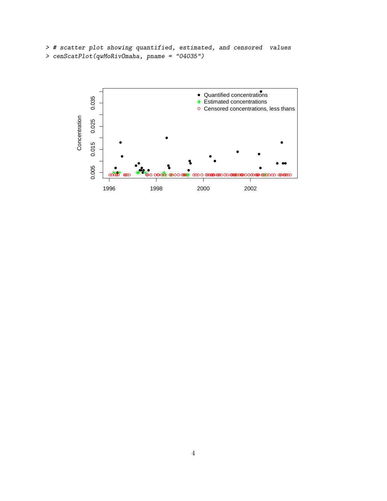```
> # scatter plot showing quantified, estimated, and censored values
> cenScatPlot(qwMoRivOmaha, pname = "04035")
```
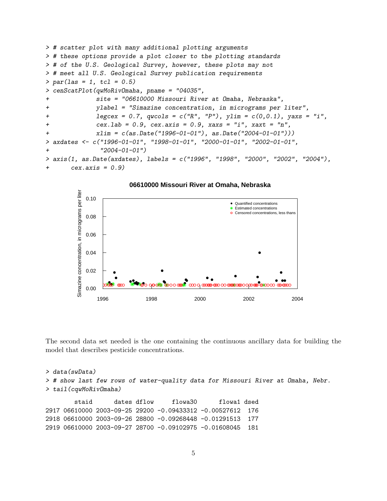```
> # scatter plot with many additional plotting arguments
> # these options provide a plot closer to the plotting standards
> # of the U.S. Geological Survey, however, these plots may not
> # meet all U.S. Geological Survey publication requirements
> par(las = 1, tcl = 0.5)> cenScatPlot(qwMoRivOmaha, pname = "04035",
+ site = "06610000 Missouri River at Omaha, Nebraska",
+ ylabel = "Simazine concentration, in micrograms per liter",
+ legcex = 0.7, qwcols = c("R", "P"), ylim = c(0,0.1), yaxs = "i",
+ cex.1ab = 0.9, cex.axis = 0.9, xax = "i", xax = "n",+ xlim = c(as.Date("1996-01-01"), as.Date("2004-01-01")))
> axdates <- c("1996-01-01", "1998-01-01", "2000-01-01", "2002-01-01",
+ "2004-01-01")
> axis(1, as.Date(axdates), labels = c("1996", "1998", "2000", "2002", "2004"),
+ cex.axis = 0.9)
```


**06610000 Missouri River at Omaha, Nebraska**

The second data set needed is the one containing the continuous ancillary data for building the model that describes pesticide concentrations.

```
> data(swData)
> # show last few rows of water-quality data for Missouri River at Omaha, Nebr.
> tail(cqwMoRivOmaha)
       staid dates dflow flowa30 flowa1 dsed
2917 06610000 2003-09-25 29200 -0.09433312 -0.00527612 176
2918 06610000 2003-09-26 28800 -0.09268448 -0.01291513 177
2919 06610000 2003-09-27 28700 -0.09102975 -0.01608045 181
```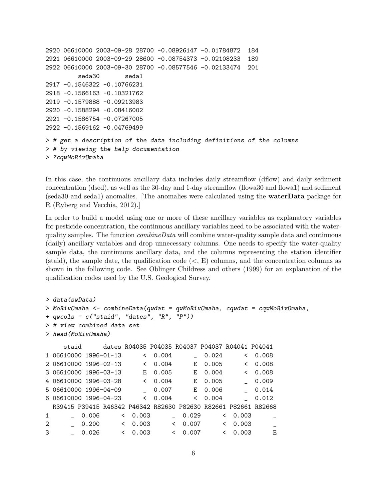```
2920 06610000 2003-09-28 28700 -0.08926147 -0.01784872 184
2921 06610000 2003-09-29 28600 -0.08754373 -0.02108233 189
2922 06610000 2003-09-30 28700 -0.08577546 -0.02133474 201
         seda30 seda1
2917 -0.1546322 -0.10766231
2918 -0.1566163 -0.10321762
2919 -0.1579888 -0.09213983
2920 -0.1588294 -0.08416002
2921 -0.1586754 -0.07267005
2922 -0.1569162 -0.04769499
> # get a description of the data including definitions of the columns
> # by viewing the help documentation
> ?cqwMoRivOmaha
```
In this case, the continuous ancillary data includes daily streamflow (dflow) and daily sediment concentration (dsed), as well as the 30-day and 1-day streamflow (flowa30 and flowa1) and sediment (seda30 and seda1) anomalies. [The anomalies were calculated using the waterData package for R (Ryberg and Vecchia, 2012).]

In order to build a model using one or more of these ancillary variables as explanatory variables for pesticide concentration, the continuous ancillary variables need to be associated with the waterquality samples. The function  $combineData$  will combine water-quality sample data and continuous (daily) ancillary variables and drop unnecessary columns. One needs to specify the water-quality sample data, the continuous ancillary data, and the columns representing the station identifier (staid), the sample date, the qualification code  $(<, E)$  columns, and the concentration columns as shown in the following code. See Oblinger Childress and others (1999) for an explanation of the qualification codes used by the U.S. Geological Survey.

```
> data(swData)
> MoRivOmaha <- combineData(qwdat = qwMoRivOmaha, cqwdat = cqwMoRivOmaha,
+ qwcols = c("staid", "dates", "R", "P"))
> # view combined data set
> head(MoRivOmaha)
    staid dates R04035 P04035 R04037 P04037 R04041 P04041
1 06610000 1996-01-13 < 0.004 _ 0.024 < 0.008
2 06610000 1996-02-13 < 0.004 E 0.005 < 0.008
3 06610000 1996-03-13 E 0.005 E 0.004 < 0.008
4 06610000 1996-03-28 < 0.004 E 0.005 _ 0.009
5 06610000 1996-04-09 _ 0.007 E 0.006 _ 0.014
6 06610000 1996-04-23 < 0.004 < 0.004 _ 0.012
 R39415 P39415 R46342 P46342 R82630 P82630 R82661 P82661 R82668
1 _ 0.006 < 0.003 _ 0.029 < 0.003 _
2 _ 0.200 < 0.003 < 0.007 < 0.003 _
3 _ 0.026 < 0.003 < 0.007 < 0.003 E
```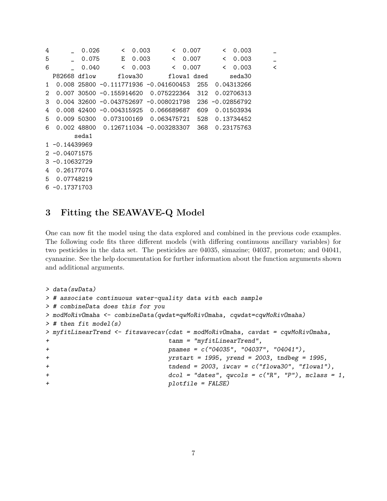4 \_ 0.026 < 0.003 < 0.007 < 0.003 \_ 5 \_ 0.075 E 0.003 < 0.007 < 0.003 \_ 6 \_ 0.040 < 0.003 < 0.007 < 0.003 < P82668 dflow flowa30 flowa1 dsed seda30 1 0.008 25800 -0.111771936 -0.041600453 255 0.04313266 2 0.007 30500 -0.155914620 0.075222364 312 0.02706313 3 0.004 32600 -0.043752697 -0.008021798 236 -0.02856792 4 0.008 42400 -0.004315925 0.066689687 609 0.01503934 5 0.009 50300 0.073100169 0.063475721 528 0.13734452 6 0.002 48800 0.126711034 -0.003283307 368 0.23175763 seda1 1 -0.14439969 2 -0.04071575 3 -0.10632729 4 0.26177074 5 0.07748219 6 -0.17371703

# <span id="page-6-0"></span>3 Fitting the SEAWAVE-Q Model

One can now fit the model using the data explored and combined in the previous code examples. The following code fits three different models (with differing continuous ancillary variables) for two pesticides in the data set. The pesticides are 04035, simazine; 04037, prometon; and 04041, cyanazine. See the help documentation for further information about the function arguments shown and additional arguments.

```
> data(swData)
> # associate continuous water-quality data with each sample
> # combineData does this for you
> modMoRivOmaha <- combineData(qwdat=qwMoRivOmaha, cqwdat=cqwMoRivOmaha)
> # then fit model(s)
> myfitLinearTrend <- fitswavecav(cdat = modMoRivOmaha, cavdat = cqwMoRivOmaha,
+ tanm = "myfitLinearTrend",
+ pnames = c("04035", "04037", "04041"),
+ yrstart = 1995, yrend = 2003, tndbeg = 1995,
+ tndend = 2003, iwcav = c("flowa30", "flowa1"),
+ dcol = "dates", qwcols = c("R", "P"), mclass = 1,
+ plotfile = FALSE)
```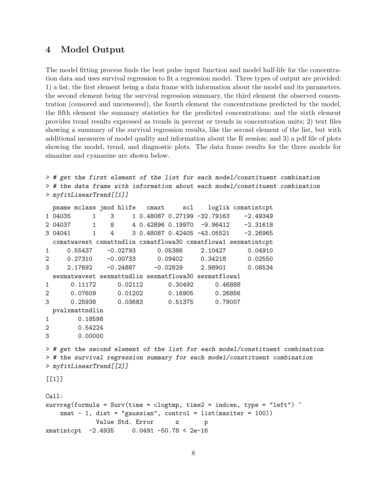### <span id="page-7-0"></span>4 Model Output

The model fitting process finds the best pulse input function and model half-life for the concentration data and uses survival regression to fit a regression model. Three types of output are provided: 1) a list, the first element being a data frame with information about the model and its parameters, the second element being the survival regression summary, the third element the observed concentration (censored and uncensored), the fourth element the concentrations predicted by the model, the fifth element the summary statistics for the predicted concentrations; and the sixth element provides trend results expressed as trends in percent or trends in concentration units; 2) text files showing a summary of the survival regression results, like the second element of the list, but with additional measures of model quality and information about the R session; and 3) a pdf file of plots showing the model, trend, and diagnostic plots. The data frame results for the three models for simazine and cyanazine are shown below.

```
> # get the first element of the list for each model/constituent combination
> # the data frame with information about each model/constituent combination
> myfitLinearTrend[[1]]
 pname mclass jmod hlife cmaxt scl loglik cxmatintcpt
1 04035 1 3 1 0.48087 0.27199 -32.79163 -2.49349
2 04037 1 8 4 0.42896 0.19970 -9.96412 -2.31618
3 04041 1 4 3 0.48087 0.42405 -43.05521 -2.26965
 cxmatwavest cxmattndlin cxmatflowa30 cxmatflowa1 sexmatintcpt
1 0.55437 -0.02793 0.05386 2.10427 0.04910
2 0.27310 -0.00733 0.09402 0.34218 0.02550
3 2.17692 -0.24887 -0.02829 2.98901 0.08534
 sexmatwavest sexmattndlin sexmatflowa30 sexmatflowa1
1 0.11172 0.02112 0.30492 0.46888
2 0.07609 0.01202 0.16905 0.26856
3 0.25938 0.03683 0.51375 0.78007
 pvalxmattndlin
1 0.18598
2 0.54224
3 0.00000
> # get the second element of the list for each model/constituent combination
> # the survival regression summary for each model/constituent combination
> myfitLinearTrend[[2]]
[[1]Call:
survreg(formula = Surv(time = clogtmp, time2 = indcen, type = "left") \tilde{ }xmat - 1, dist = "gaussian", control = list(maxiter = 100))
           Value Std. Error z p
xmatintcpt -2.4935 0.0491 -50.78 < 2e-16
```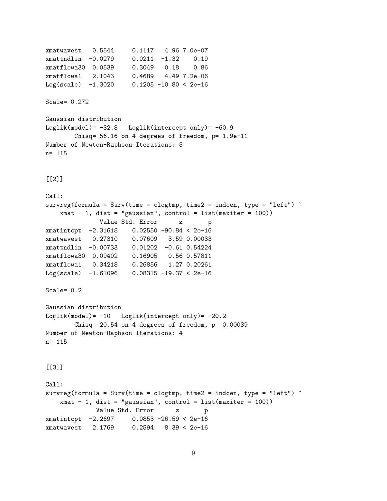```
xmatwavest 0.5544 0.1117 4.96 7.0e-07
xmattndlin -0.0279 0.0211 -1.32 0.19
xmatflowa30 0.0539 0.3049 0.18 0.86
xmatflowa1 2.1043 0.4689 4.49 7.2e-06
Log(scale) -1.3020 0.1205 -10.80 < 2e-16Scale= 0.272
Gaussian distribution
Loglik(model) = -32.8 Loglik(intercept only) = -60.9Chisq= 56.16 on 4 degrees of freedom, p= 1.9e-11
Number of Newton-Raphson Iterations: 5
n= 115
[[2]]
Call:
survreg(formula = Surv(time = clogtmp, time2 = indcen, type = "left") \tilde{ }xmat - 1, dist = "gaussian", control = list(maxiter = 100))
             Value Std. Error z p
xmatintcpt -2.31618 0.02550 -90.84 < 2e-16
xmatwavest 0.27310 0.07609 3.59 0.00033
xmattndlin -0.00733 0.01202 -0.61 0.54224
xmatflowa30 0.09402 0.16905 0.56 0.57811
xmatflowa1 0.34218 0.26856 1.27 0.20261
Log(scale) -1.61096 0.08315 -19.37 < 2e-16Scale= 0.2
Gaussian distribution
Loglik(model)= -10 Loglik(intercept only)= -20.2Chisq= 20.54 on 4 degrees of freedom, p= 0.00039
Number of Newton-Raphson Iterations: 4
n= 115
[[]]]Call:
survreg(formula = Surv(time = clogtmp, time2 = indcen, type = "left") \tilde{ }xmat - 1, dist = "gaussian", control = list(maxiter = 100))
             Value Std. Error z p
xmatintcpt -2.2697 0.0853 -26.59 < 2e-16
xmatwavest 2.1769 0.2594 8.39 < 2e-16
```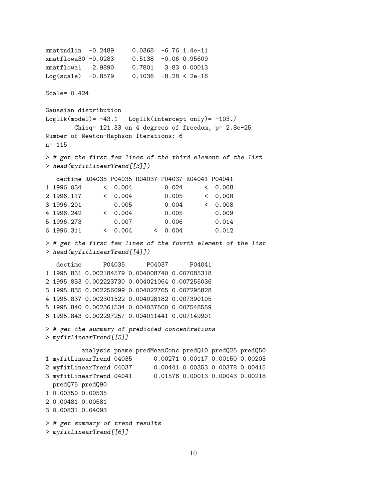xmattndlin -0.2489 0.0368 -6.76 1.4e-11 xmatflowa30 -0.0283 0.5138 -0.06 0.95609 xmatflowa1 2.9890 0.7801 3.83 0.00013 Log(scale) -0.8579 0.1036 -8.28 < 2e-16 Scale= 0.424 Gaussian distribution Loglik(model)= -43.1 Loglik(intercept only)= -103.7 Chisq= 121.33 on 4 degrees of freedom, p= 2.8e-25 Number of Newton-Raphson Iterations: 6 n= 115 > # get the first few lines of the third element of the list > head(myfitLinearTrend[[3]]) dectime R04035 P04035 R04037 P04037 R04041 P04041 1 1996.034 < 0.004 0.024 < 0.008 2 1996.117 < 0.004 0.005 < 0.008 3 1996.201 0.005 0.004 < 0.008 4 1996.242 < 0.004 0.005 0.009 5 1996.273 0.007 0.006 0.014 6 1996.311 < 0.004 < 0.004 0.012 > # get the first few lines of the fourth element of the list > head(myfitLinearTrend[[4]]) dectime P04035 P04037 P04041 1 1995.831 0.002184579 0.004008740 0.007085318 2 1995.833 0.002223730 0.004021064 0.007255036 3 1995.835 0.002256099 0.004022765 0.007295828 4 1995.837 0.002301522 0.004028182 0.007390105 5 1995.840 0.002361534 0.004037500 0.007548559 6 1995.843 0.002297257 0.004011441 0.007149901 > # get the summary of predicted concentrations > myfitLinearTrend[[5]] analysis pname predMeanConc predQ10 predQ25 predQ50 1 myfitLinearTrend 04035 0.00271 0.00117 0.00150 0.00203 2 myfitLinearTrend 04037 0.00441 0.00353 0.00378 0.00415 3 myfitLinearTrend 04041 0.01576 0.00013 0.00043 0.00218 predQ75 predQ90 1 0.00350 0.00535 2 0.00481 0.00581 3 0.00831 0.04093 > # get summary of trend results > myfitLinearTrend[[6]]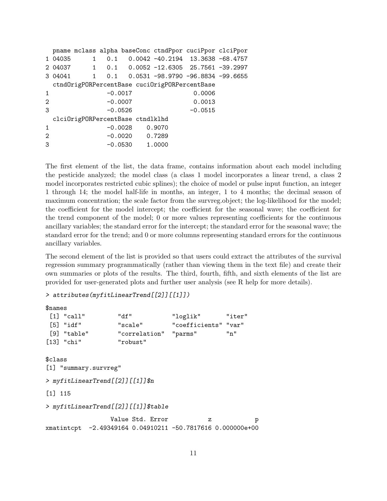|              |         |           |                                  | pname mclass alpha baseConc ctndPpor cuciPpor clciPpor |           |  |
|--------------|---------|-----------|----------------------------------|--------------------------------------------------------|-----------|--|
|              | 1 04035 |           |                                  | 1  0.1  0.0042  -40.2194  13.3638  -68.4757            |           |  |
|              |         |           |                                  | 2 04037 1 0.1 0.0052 -12.6305 25.7561 -39.2997         |           |  |
|              |         |           |                                  | 3 04041 1 0.1 0.0531 -98.9790 -96.8834 -99.6655        |           |  |
|              |         |           |                                  | ctndOrigPORPercentBase cuciOrigPORPercentBase          |           |  |
| $\mathbf{1}$ |         | $-0.0017$ |                                  |                                                        | 0.0006    |  |
| 2            |         | $-0.0007$ |                                  |                                                        | 0.0013    |  |
| 3            |         | $-0.0526$ |                                  |                                                        | $-0.0515$ |  |
|              |         |           | clciOrigPORPercentBase ctndlklhd |                                                        |           |  |
| 1            |         |           | $-0.0028$ 0.9070                 |                                                        |           |  |
| 2            |         |           | $-0.0020$ 0.7289                 |                                                        |           |  |
| 3            |         |           | $-0.0530$ 1.0000                 |                                                        |           |  |
|              |         |           |                                  |                                                        |           |  |

The first element of the list, the data frame, contains information about each model including the pesticide analyzed; the model class (a class 1 model incorporates a linear trend, a class 2 model incorporates restricted cubic splines); the choice of model or pulse input function, an integer 1 through 14; the model half-life in months, an integer, 1 to 4 months; the decimal season of maximum concentration; the scale factor from the survreg.object; the log-likelihood for the model; the coefficient for the model intercept; the coefficient for the seasonal wave; the coefficient for the trend component of the model; 0 or more values representing coefficients for the continuous ancillary variables; the standard error for the intercept; the standard error for the seasonal wave; the standard error for the trend; and 0 or more columns representing standard errors for the continuous ancillary variables.

The second element of the list is provided so that users could extract the attributes of the survival regression summary programmatically (rather than viewing them in the text file) and create their own summaries or plots of the results. The third, fourth, fifth, and sixth elements of the list are provided for user-generated plots and further user analysis (see R help for more details).

#### > attributes(myfitLinearTrend[[2]][[1]])

| <b><i><u>Snames</u></i></b>      |                          |                                                          |          |                  |                                                                            |     |   |
|----------------------------------|--------------------------|----------------------------------------------------------|----------|------------------|----------------------------------------------------------------------------|-----|---|
|                                  | $\lceil 1 \rceil$ "call" | "df"                                                     |          |                  | "loglik" "iter"                                                            |     |   |
|                                  | $\lceil 5 \rceil$ "idf"  |                                                          | "scale"  |                  | "coefficients" "var"                                                       |     |   |
|                                  | [9] "table"              |                                                          |          |                  | "correlation" "parms"                                                      | "n" |   |
|                                  | [13] "chi"               |                                                          | "robust" |                  |                                                                            |     |   |
| \$class<br>$\lceil 1 \rceil$ 115 |                          | [1] "summary.survreg"<br>> myfitLinearTrend[[2]][[1]]\$n |          |                  |                                                                            |     |   |
|                                  |                          | > myfitLinearTrend[[2]][[1]]\$table                      |          |                  |                                                                            |     |   |
|                                  |                          |                                                          |          | Value Std. Error | $\mathbf{z}$<br>xmatintcpt -2.49349164 0.04910211 -50.7817616 0.000000e+00 |     | p |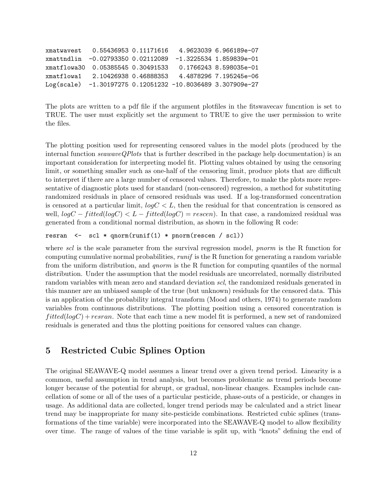| xmatwavest 0.55436953 0.11171616    |  | 4.9623039 6.966189e-07                                      |
|-------------------------------------|--|-------------------------------------------------------------|
|                                     |  | xmattndlin -0.02793350  0.02112089 -1.3225534  1.859839e-01 |
| xmatflowa30  0.05385545  0.30491533 |  | 0.1766243 8.598035e-01                                      |
| xmatflowa1 2.10426938 0.46888353    |  | 4.4878296 7.195245e-06                                      |
|                                     |  | Log(scale) -1.30197275 0.12051232 -10.8036489 3.307909e-27  |
|                                     |  |                                                             |

The plots are written to a pdf file if the argument plotfiles in the fitswavecav funcntion is set to TRUE. The user must explicitly set the argument to TRUE to give the user permission to write the files.

The plotting position used for representing censored values in the model plots (produced by the internal function  $seawaveQPlots$  that is further described in the package help documentation) is an important consideration for interpreting model fit. Plotting values obtained by using the censoring limit, or something smaller such as one-half of the censoring limit, produce plots that are difficult to interpret if there are a large number of censored values. Therefore, to make the plots more representative of diagnostic plots used for standard (non-censored) regression, a method for substituting randomized residuals in place of censored residuals was used. If a log-transformed concentration is censored at a particular limit,  $log C < L$ , then the residual for that concentration is censored as well,  $logC - fitted(logC) < L - fitted(logC) = rescen$ . In that case, a randomized residual was generated from a conditional normal distribution, as shown in the following R code:

```
resran <- scl * qnorm(runif(1) * pnorm(rescen / scl))
```
where scl is the scale parameter from the survival regression model, *pnorm* is the R function for computing cumulative normal probabilities,  $runif$  is the R function for generating a random variable from the uniform distribution, and *gnorm* is the R function for computing quantiles of the normal distribution. Under the assumption that the model residuals are uncorrelated, normally distributed random variables with mean zero and standard deviation scl, the randomized residuals generated in this manner are an unbiased sample of the true (but unknown) residuals for the censored data. This is an application of the probability integral transform (Mood and others, 1974) to generate random variables from continuous distributions. The plotting position using a censored concentration is  $fitted(logC) + resran.$  Note that each time a new model fit is performed, a new set of randomized residuals is generated and thus the plotting positions for censored values can change.

### <span id="page-11-0"></span>5 Restricted Cubic Splines Option

The original SEAWAVE-Q model assumes a linear trend over a given trend period. Linearity is a common, useful assumption in trend analysis, but becomes problematic as trend periods become longer because of the potential for abrupt, or gradual, non-linear changes. Examples include cancellation of some or all of the uses of a particular pesticide, phase-outs of a pesticide, or changes in usage. As additional data are collected, longer trend periods may be calculated and a strict linear trend may be inappropriate for many site-pesticide combinations. Restricted cubic splines (transformations of the time variable) were incorporated into the SEAWAVE-Q model to allow flexibility over time. The range of values of the time variable is split up, with "knots" defining the end of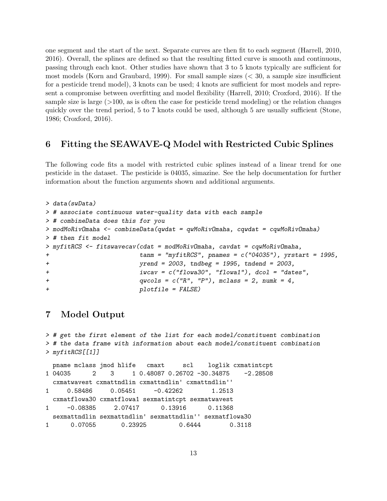one segment and the start of the next. Separate curves are then fit to each segment (Harrell, 2010, 2016). Overall, the splines are defined so that the resulting fitted curve is smooth and continuous, passing through each knot. Other studies have shown that 3 to 5 knots typically are sufficient for most models (Korn and Graubard, 1999). For small sample sizes  $\langle \langle 30, 8 \rangle$  a sample size insufficient for a pesticide trend model), 3 knots can be used; 4 knots are sufficient for most models and represent a compromise between overfitting and model flexibility (Harrell, 2010; Croxford, 2016). If the sample size is large  $(>100$ , as is often the case for pesticide trend modeling) or the relation changes quickly over the trend period, 5 to 7 knots could be used, although 5 are usually sufficient (Stone, 1986; Croxford, 2016).

## <span id="page-12-0"></span>6 Fitting the SEAWAVE-Q Model with Restricted Cubic Splines

The following code fits a model with restricted cubic splines instead of a linear trend for one pesticide in the dataset. The pesticide is 04035, simazine. See the help documentation for further information about the function arguments shown and additional arguments.

```
> data(swData)
> # associate continuous water-quality data with each sample
> # combineData does this for you
> modMoRivOmaha <- combineData(qwdat = qwMoRivOmaha, cqwdat = cqwMoRivOmaha)
> # then fit model
> myfitRCS <- fitswavecav(cdat = modMoRivOmaha, cavdat = cqwMoRivOmaha,
+ tanm = "myfitRCS", pnames = c("04035"), yrstart = 1995,
+ yrend = 2003, tndbeg = 1995, tndend = 2003,
+ iwcav = c("flowa30", "flowa1"), dcol = "dates",
+ qwcols = c("R", "P"), mclass = 2, numk = 4,
+ plotfile = FALSE)
```
# <span id="page-12-1"></span>7 Model Output

```
> # get the first element of the list for each model/constituent combination
> # the data frame with information about each model/constituent combination
> myfitRCS[[1]]
 pname mclass jmod hlife cmaxt scl loglik cxmatintcpt
1 04035 2 3 1 0.48087 0.26702 -30.34875 -2.28508
 cxmatwavest cxmattndlin cxmattndlin' cxmattndlin''
1 0.58486 0.05451 -0.42262 1.2513
 cxmatflowa30 cxmatflowa1 sexmatintcpt sexmatwavest
1 -0.08385 2.07417 0.13916 0.11368
 sexmattndlin sexmattndlin' sexmattndlin'' sexmatflowa30
1 0.07055 0.23925 0.6444 0.3118
```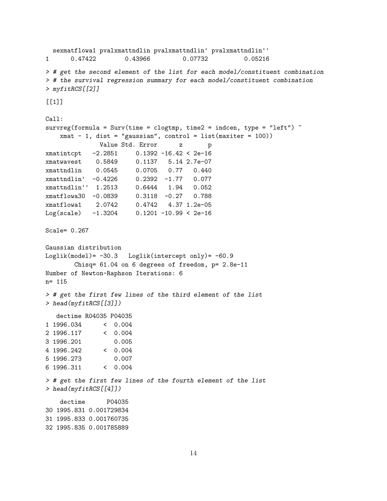```
sexmatflowa1 pvalxmattndlin pvalxmattndlin' pvalxmattndlin''
1 0.47422 0.43966 0.07732 0.05216
> # get the second element of the list for each model/constituent combination
> # the survival regression summary for each model/constituent combination
> myfitRCS[[2]]
[[1]Call:
survreg(formula = Surv(time = clogtmp, time2 = indcen, type = "left") \tilde{ }xmat - 1, dist = "gaussian", control = list(maxiter = 100))
             Value Std. Error z p
xmatintcpt -2.2851 0.1392 -16.42 < 2e-16
xmatwavest 0.5849 0.1137 5.14 2.7e-07
xmattndlin 0.0545 0.0705 0.77 0.440
xmattndlin' -0.4226 0.2392 -1.77 0.077
xmattndlin'' 1.2513 0.6444 1.94 0.052
xmatflowa30 -0.0839 0.3118 -0.27 0.788
xmatflowa1 2.0742 0.4742 4.37 1.2e-05
Log(scale) -1.3204 0.1201 -10.99 < 2e-16
Scale= 0.267
Gaussian distribution
Loglik(model)= -30.3 Loglik(intercept only)= -60.9
       Chisq= 61.04 on 6 degrees of freedom, p= 2.8e-11
Number of Newton-Raphson Iterations: 6
n= 115
> # get the first few lines of the third element of the list
> head(myfitRCS[[3]])
  dectime R04035 P04035
1 1996.034 < 0.004
2 1996.117 < 0.004
3 1996.201 0.005
4 1996.242 < 0.004
5 1996.273 0.007
6 1996.311 < 0.004
> # get the first few lines of the fourth element of the list
> head(myfitRCS[[4]])
   dectime P04035
30 1995.831 0.001729834
31 1995.833 0.001760735
32 1995.835 0.001785889
```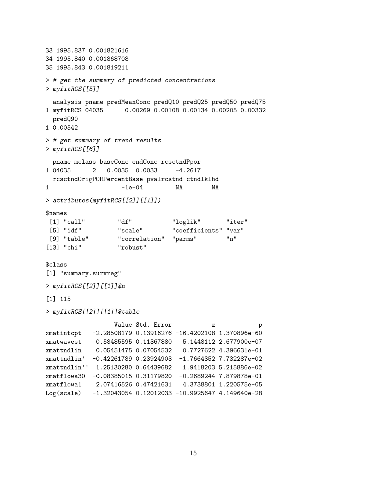33 1995.837 0.001821616 34 1995.840 0.001868708 35 1995.843 0.001819211 > # get the summary of predicted concentrations > myfitRCS[[5]] analysis pname predMeanConc predQ10 predQ25 predQ50 predQ75 1 myfitRCS 04035 0.00269 0.00108 0.00134 0.00205 0.00332 predQ90 1 0.00542 > # get summary of trend results > myfitRCS[[6]] pname mclass baseConc endConc rcsctndPpor 1 04035 2 0.0035 0.0033 -4.2617 rcsctndOrigPORPercentBase pvalrcstnd ctndlklhd 1 -1e-04 NA NA > attributes(myfitRCS[[2]][[1]]) \$names [1] "call" "df" "loglik" "iter" [5] "idf" "scale" "coefficients" "var" [9] "table" "correlation" "parms" "n" [13] "chi" "robust" \$class [1] "summary.survreg" > myfitRCS[[2]][[1]]\$n [1] 115 > myfitRCS[[2]][[1]]\$table Value Std. Error  $\qquad \qquad$  z p xmatintcpt -2.28508179 0.13916276 -16.4202108 1.370896e-60 xmatwavest 0.58485595 0.11367880 5.1448112 2.677900e-07 xmattndlin 0.05451475 0.07054532 0.7727622 4.396631e-01 xmattndlin' -0.42261789 0.23924903 -1.7664352 7.732287e-02 xmattndlin'' 1.25130280 0.64439682 1.9418203 5.215886e-02 xmatflowa30 -0.08385015 0.31179820 -0.2689244 7.879878e-01 xmatflowa1 2.07416526 0.47421631 4.3738801 1.220575e-05 Log(scale) -1.32043054 0.12012033 -10.9925647 4.149640e-28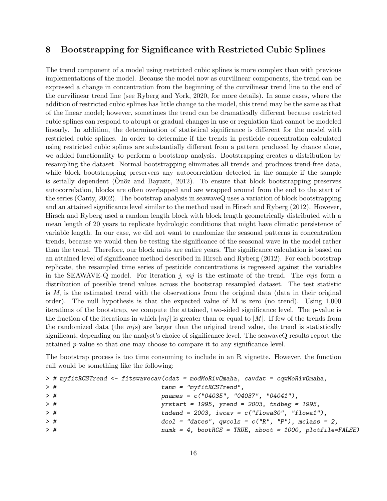## <span id="page-15-0"></span>8 Bootstrapping for Significance with Restricted Cubic Splines

The trend component of a model using restricted cubic splines is more complex than with previous implementations of the model. Because the model now as curvilinear components, the trend can be expressed a change in concentration from the beginning of the curvilinear trend line to the end of the curvilinear trend line (see Ryberg and York, 2020, for more details). In some cases, where the addition of restricted cubic splines has little change to the model, this trend may be the same as that of the linear model; however, sometimes the trend can be dramatically different because restricted cubic splines can respond to abrupt or gradual changes in use or regulation that cannot be modeled linearly. In addition, the determination of statistical significance is different for the model with restricted cubic splines. In order to determine if the trends in pesticide concentration calculated using restricted cubic splines are substantially different from a pattern produced by chance alone, we added functionality to perform a bootstrap analysis. Bootstrapping creates a distribution by resampling the dataset. Normal bootstrapping eliminates all trends and produces trend-free data, while block bootstrapping preservers any autocorrelation detected in the sample if the sample is serially dependent (Onöz and Bayazit, 2012). To ensure that block bootstrapping preserves autocorrelation, blocks are often overlapped and are wrapped around from the end to the start of the series (Canty, 2002). The bootstrap analysis in seawaveQ uses a variation of block bootstrapping and an attained significance level similar to the method used in Hirsch and Ryberg (2012). However, Hirsch and Ryberg used a random length block with block length geometrically distributed with a mean length of 20 years to replicate hydrologic conditions that might have climatic persistence of variable length. In our case, we did not want to randomize the seasonal patterns in concentration trends, because we would then be testing the significance of the seasonal wave in the model rather than the trend. Therefore, our block units are entire years. The significance calculation is based on an attained level of significance method described in Hirsch and Ryberg (2012). For each bootstrap replicate, the resampled time series of pesticide concentrations is regressed against the variables in the SEAWAVE-Q model. For iteration j,  $mj$  is the estimate of the trend. The mjs form a distribution of possible trend values across the bootstrap resampled dataset. The test statistic is M, is the estimated trend with the observations from the original data (data in their original order). The null hypothesis is that the expected value of M is zero (no trend). Using 1,000 iterations of the bootstrap, we compute the attained, two-sided significance level. The p-value is the fraction of the iterations in which  $|mj|$  is greater than or equal to  $|M|$ . If few of the trends from the randomized data (the mjs) are larger than the original trend value, the trend is statistically significant, depending on the analyst's choice of significance level. The seawaveQ results report the attained p-value so that one may choose to compare it to any significance level.

The bootstrap process is too time consuming to include in an R vignette. However, the function call would be something like the following:

|       | > # myfitRCSTrend <- fitswavecav(cdat = modMoRivOmaha, cavdat = cqwMoRivOmaha, |
|-------|--------------------------------------------------------------------------------|
| $>$ # | $tann = "myfitRCSTrend",$                                                      |
| $>$ # | pnames = $c("04035", "04037", "04041"),$                                       |
| $>$ # | $yrstart = 1995$ , $yrend = 2003$ , $tndbeg = 1995$ ,                          |
| $>$ # | tndend = $2003$ , iwcav = $c("flowa30", "flowa1")$ ,                           |
| $>$ # | $dcol$ = "dates", qwcols = $c("R", "P")$ , mclass = 2,                         |
| $>$ # | $numk = 4$ , bootRCS = TRUE, nboot = 1000, plotfile=FALSE)                     |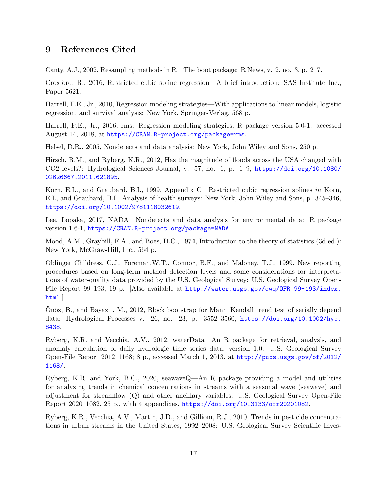# <span id="page-16-0"></span>9 References Cited

Canty, A.J., 2002, Resampling methods in R—The boot package: R News, v. 2, no. 3, p. 2–7.

Croxford, R., 2016, Restricted cubic spline regression—A brief introduction: SAS Institute Inc., Paper 5621.

Harrell, F.E., Jr., 2010, Regression modeling strategies—With applications to linear models, logistic regression, and survival analysis: New York, Springer-Verlag, 568 p.

Harrell, F.E., Jr., 2016, rms: Regression modeling strategies; R package version 5.0-1: accessed August 14, 2018, at <https://CRAN.R-project.org/package=rms>.

Helsel, D.R., 2005, Nondetects and data analysis: New York, John Wiley and Sons, 250 p.

Hirsch, R.M., and Ryberg, K.R., 2012, Has the magnitude of floods across the USA changed with CO2 levels?: Hydrological Sciences Journal, v. 57, no. 1, p. 1–9, [https://doi.org/10.1080/](https://doi.org/10.1080/02626667.2011.621895) [02626667.2011.621895](https://doi.org/10.1080/02626667.2011.621895).

Korn, E.L., and Graubard, B.I., 1999, Appendix C—Restricted cubic regression splines in Korn, E.L, and Graubard, B.I., Analysis of health surveys: New York, John Wiley and Sons, p. 345–346, <https://doi.org/10.1002/9781118032619>.

Lee, Lopaka, 2017, NADA—Nondetects and data analysis for environmental data: R package version 1.6-1, <https://CRAN.R-project.org/package=NADA>.

Mood, A.M., Graybill, F.A., and Boes, D.C., 1974, Introduction to the theory of statistics (3d ed.): New York, McGraw-Hill, Inc., 564 p.

Oblinger Childress, C.J., Foreman,W.T., Connor, B.F., and Maloney, T.J., 1999, New reporting procedures based on long-term method detection levels and some considerations for interpretations of water-quality data provided by the U.S. Geological Survey: U.S. Geological Survey Open-File Report 99–193, 19 p. [Also available at [http://water.usgs.gov/owq/OFR\\_99-193/index.](http://water.usgs.gov/owq/OFR_99-193/index.html) [html](http://water.usgs.gov/owq/OFR_99-193/index.html).]

Onöz, B., and Bayazit, M., 2012, Block bootstrap for Mann–Kendall trend test of serially depend data: Hydrological Processes v. 26, no. 23, p. 3552–3560, [https://doi.org/10.1002/hyp.](https://doi.org/10.1002/hyp.8438) [8438](https://doi.org/10.1002/hyp.8438).

Ryberg, K.R. and Vecchia, A.V., 2012, waterData—An R package for retrieval, analysis, and anomaly calculation of daily hydrologic time series data, version 1.0: U.S. Geological Survey Open-File Report 2012–1168; 8 p., accessed March 1, 2013, at [http://pubs.usgs.gov/of/2012/](http://pubs.usgs.gov/of/2012/1168/) [1168/](http://pubs.usgs.gov/of/2012/1168/).

Ryberg, K.R. and York, B.C., 2020, seawaveQ—An R package providing a model and utilities for analyzing trends in chemical concentrations in streams with a seasonal wave (seawave) and adjustment for streamflow (Q) and other ancillary variables: U.S. Geological Survey Open-File Report 2020–1082, 25 p., with 4 appendixes, <https://doi.org/10.3133/ofr20201082>.

Ryberg, K.R., Vecchia, A.V., Martin, J.D., and Gilliom, R.J., 2010, Trends in pesticide concentrations in urban streams in the United States, 1992–2008: U.S. Geological Survey Scientific Inves